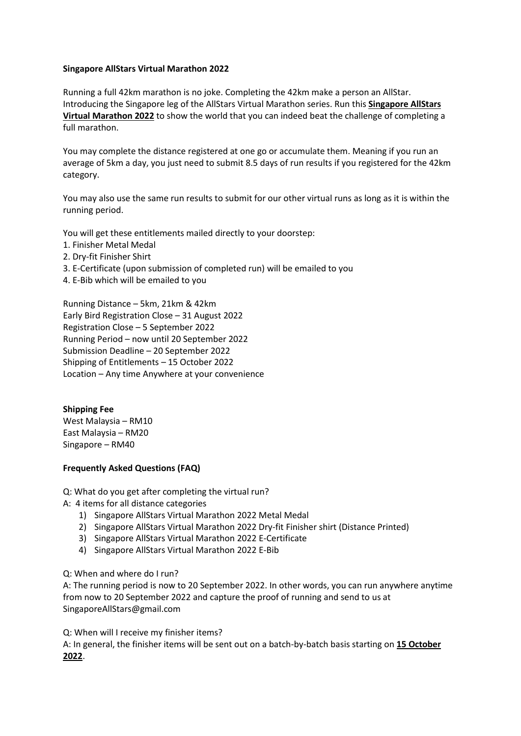## **Singapore AllStars Virtual Marathon 2022**

Running a full 42km marathon is no joke. Completing the 42km make a person an AllStar. Introducing the Singapore leg of the AllStars Virtual Marathon series. Run this **Singapore AllStars Virtual Marathon 2022** to show the world that you can indeed beat the challenge of completing a full marathon.

You may complete the distance registered at one go or accumulate them. Meaning if you run an average of 5km a day, you just need to submit 8.5 days of run results if you registered for the 42km category.

You may also use the same run results to submit for our other virtual runs as long as it is within the running period.

You will get these entitlements mailed directly to your doorstep:

- 1. Finisher Metal Medal
- 2. Dry-fit Finisher Shirt
- 3. E-Certificate (upon submission of completed run) will be emailed to you
- 4. E-Bib which will be emailed to you

Running Distance – 5km, 21km & 42km Early Bird Registration Close – 31 August 2022 Registration Close – 5 September 2022 Running Period – now until 20 September 2022 Submission Deadline – 20 September 2022 Shipping of Entitlements – 15 October 2022 Location – Any time Anywhere at your convenience

## **Shipping Fee**

West Malaysia – RM10 East Malaysia – RM20 Singapore – RM40

## **Frequently Asked Questions (FAQ)**

Q: What do you get after completing the virtual run?

- A: 4 items for all distance categories
	- 1) Singapore AllStars Virtual Marathon 2022 Metal Medal
	- 2) Singapore AllStars Virtual Marathon 2022 Dry-fit Finisher shirt (Distance Printed)
	- 3) Singapore AllStars Virtual Marathon 2022 E-Certificate
	- 4) Singapore AllStars Virtual Marathon 2022 E-Bib

Q: When and where do I run?

A: The running period is now to 20 September 2022. In other words, you can run anywhere anytime from now to 20 September 2022 and capture the proof of running and send to us at SingaporeAllStars@gmail.com

Q: When will I receive my finisher items?

A: In general, the finisher items will be sent out on a batch-by-batch basis starting on **15 October 2022**.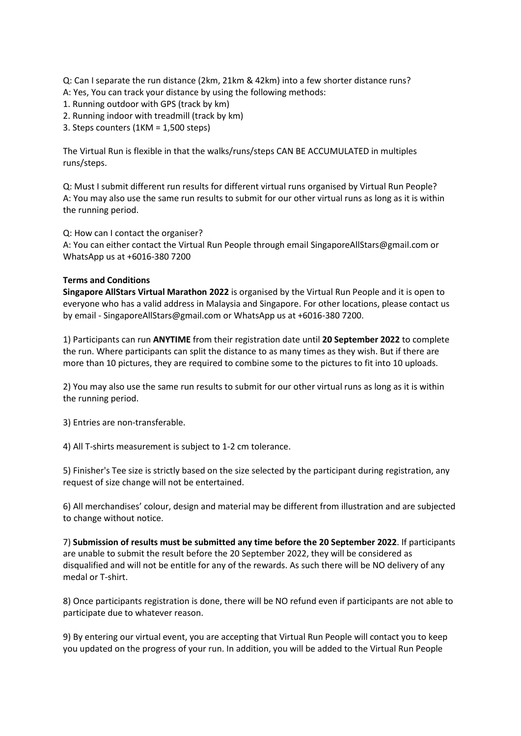Q: Can I separate the run distance (2km, 21km & 42km) into a few shorter distance runs?

- A: Yes, You can track your distance by using the following methods:
- 1. Running outdoor with GPS (track by km)
- 2. Running indoor with treadmill (track by km)
- 3. Steps counters (1KM = 1,500 steps)

The Virtual Run is flexible in that the walks/runs/steps CAN BE ACCUMULATED in multiples runs/steps.

Q: Must I submit different run results for different virtual runs organised by Virtual Run People? A: You may also use the same run results to submit for our other virtual runs as long as it is within the running period.

Q: How can I contact the organiser?

A: You can either contact the Virtual Run People through email SingaporeAllStars@gmail.com or WhatsApp us at +6016-380 7200

## **Terms and Conditions**

**Singapore AllStars Virtual Marathon 2022** is organised by the Virtual Run People and it is open to everyone who has a valid address in Malaysia and Singapore. For other locations, please contact us by email - SingaporeAllStars@gmail.com or WhatsApp us at +6016-380 7200.

1) Participants can run **ANYTIME** from their registration date until **20 September 2022** to complete the run. Where participants can split the distance to as many times as they wish. But if there are more than 10 pictures, they are required to combine some to the pictures to fit into 10 uploads.

2) You may also use the same run results to submit for our other virtual runs as long as it is within the running period.

3) Entries are non-transferable.

4) All T-shirts measurement is subject to 1-2 cm tolerance.

5) Finisher's Tee size is strictly based on the size selected by the participant during registration, any request of size change will not be entertained.

6) All merchandises' colour, design and material may be different from illustration and are subjected to change without notice.

7) **Submission of results must be submitted any time before the 20 September 2022**. If participants are unable to submit the result before the 20 September 2022, they will be considered as disqualified and will not be entitle for any of the rewards. As such there will be NO delivery of any medal or T-shirt.

8) Once participants registration is done, there will be NO refund even if participants are not able to participate due to whatever reason.

9) By entering our virtual event, you are accepting that Virtual Run People will contact you to keep you updated on the progress of your run. In addition, you will be added to the Virtual Run People